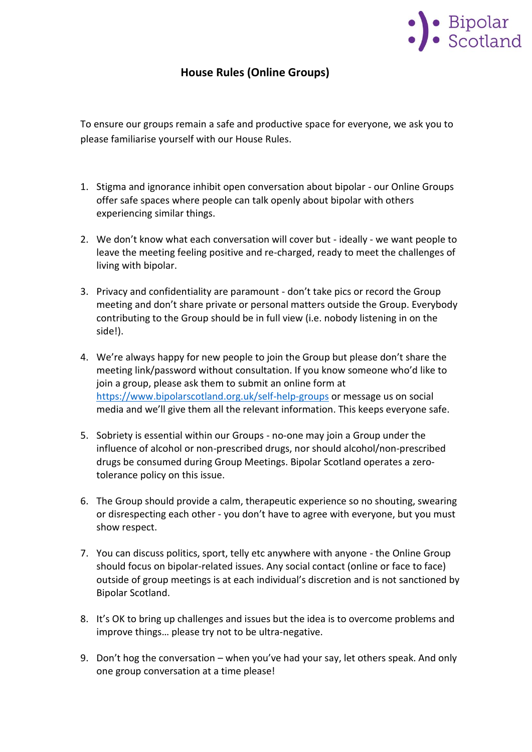

## **House Rules (Online Groups)**

To ensure our groups remain a safe and productive space for everyone, we ask you to please familiarise yourself with our House Rules.

- 1. Stigma and ignorance inhibit open conversation about bipolar our Online Groups offer safe spaces where people can talk openly about bipolar with others experiencing similar things.
- 2. We don't know what each conversation will cover but ideally we want people to leave the meeting feeling positive and re-charged, ready to meet the challenges of living with bipolar.
- 3. Privacy and confidentiality are paramount don't take pics or record the Group meeting and don't share private or personal matters outside the Group. Everybody contributing to the Group should be in full view (i.e. nobody listening in on the side!).
- 4. We're always happy for new people to join the Group but please don't share the meeting link/password without consultation. If you know someone who'd like to join a group, please ask them to submit an online form at <https://www.bipolarscotland.org.uk/self-help-groups> or message us on social media and we'll give them all the relevant information. This keeps everyone safe.
- 5. Sobriety is essential within our Groups no-one may join a Group under the influence of alcohol or non-prescribed drugs, nor should alcohol/non-prescribed drugs be consumed during Group Meetings. Bipolar Scotland operates a zerotolerance policy on this issue.
- 6. The Group should provide a calm, therapeutic experience so no shouting, swearing or disrespecting each other - you don't have to agree with everyone, but you must show respect.
- 7. You can discuss politics, sport, telly etc anywhere with anyone the Online Group should focus on bipolar-related issues. Any social contact (online or face to face) outside of group meetings is at each individual's discretion and is not sanctioned by Bipolar Scotland.
- 8. It's OK to bring up challenges and issues but the idea is to overcome problems and improve things… please try not to be ultra-negative.
- 9. Don't hog the conversation when you've had your say, let others speak. And only one group conversation at a time please!